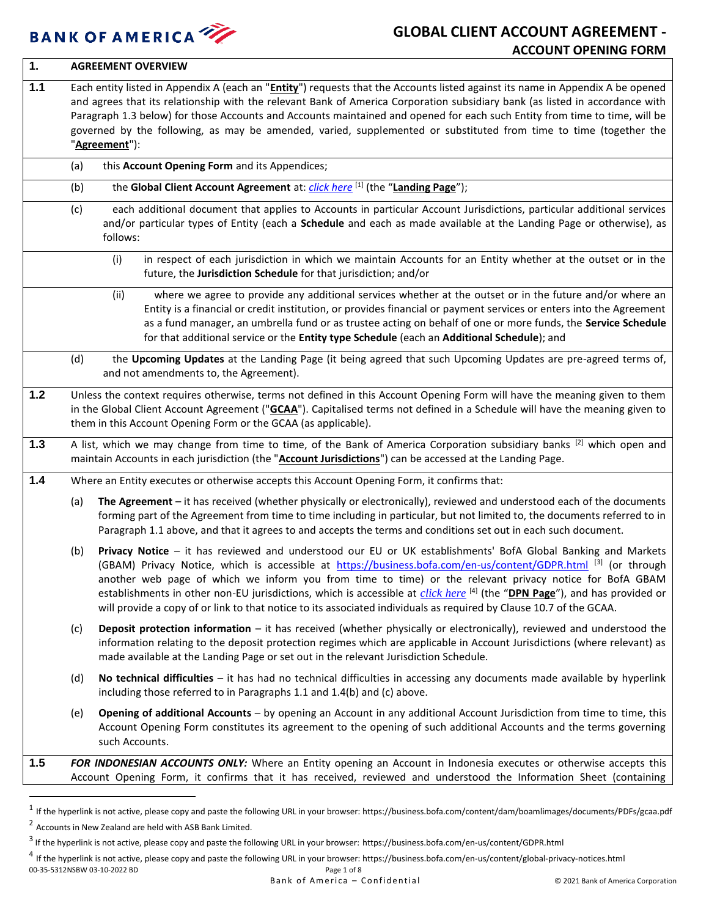**BANK OF AMERICA** 

# **GLOBAL CLIENT ACCOUNT AGREEMENT - ACCOUNT OPENING FORM**

| 1.    | <b>AGREEMENT OVERVIEW</b>                                                                                                                                                                                                                                                                                                                                                                                                                                                                                                                   |                                                                                                                                                                                                                                                                                                                                                                                                                                                                                                                                                                                                       |  |  |  |
|-------|---------------------------------------------------------------------------------------------------------------------------------------------------------------------------------------------------------------------------------------------------------------------------------------------------------------------------------------------------------------------------------------------------------------------------------------------------------------------------------------------------------------------------------------------|-------------------------------------------------------------------------------------------------------------------------------------------------------------------------------------------------------------------------------------------------------------------------------------------------------------------------------------------------------------------------------------------------------------------------------------------------------------------------------------------------------------------------------------------------------------------------------------------------------|--|--|--|
| $1.1$ | Each entity listed in Appendix A (each an " <b>Entity</b> ") requests that the Accounts listed against its name in Appendix A be opened<br>and agrees that its relationship with the relevant Bank of America Corporation subsidiary bank (as listed in accordance with<br>Paragraph 1.3 below) for those Accounts and Accounts maintained and opened for each such Entity from time to time, will be<br>governed by the following, as may be amended, varied, supplemented or substituted from time to time (together the<br>"Agreement"): |                                                                                                                                                                                                                                                                                                                                                                                                                                                                                                                                                                                                       |  |  |  |
|       | this Account Opening Form and its Appendices;<br>(a)                                                                                                                                                                                                                                                                                                                                                                                                                                                                                        |                                                                                                                                                                                                                                                                                                                                                                                                                                                                                                                                                                                                       |  |  |  |
|       | the Global Client Account Agreement at: <i>click here</i> [1] (the "Landing Page");                                                                                                                                                                                                                                                                                                                                                                                                                                                         |                                                                                                                                                                                                                                                                                                                                                                                                                                                                                                                                                                                                       |  |  |  |
|       | (c)                                                                                                                                                                                                                                                                                                                                                                                                                                                                                                                                         | each additional document that applies to Accounts in particular Account Jurisdictions, particular additional services<br>and/or particular types of Entity (each a Schedule and each as made available at the Landing Page or otherwise), as<br>follows:                                                                                                                                                                                                                                                                                                                                              |  |  |  |
|       |                                                                                                                                                                                                                                                                                                                                                                                                                                                                                                                                             | (i)<br>in respect of each jurisdiction in which we maintain Accounts for an Entity whether at the outset or in the<br>future, the Jurisdiction Schedule for that jurisdiction; and/or                                                                                                                                                                                                                                                                                                                                                                                                                 |  |  |  |
|       |                                                                                                                                                                                                                                                                                                                                                                                                                                                                                                                                             | where we agree to provide any additional services whether at the outset or in the future and/or where an<br>(ii)<br>Entity is a financial or credit institution, or provides financial or payment services or enters into the Agreement<br>as a fund manager, an umbrella fund or as trustee acting on behalf of one or more funds, the Service Schedule<br>for that additional service or the Entity type Schedule (each an Additional Schedule); and                                                                                                                                                |  |  |  |
|       | (d)                                                                                                                                                                                                                                                                                                                                                                                                                                                                                                                                         | the Upcoming Updates at the Landing Page (it being agreed that such Upcoming Updates are pre-agreed terms of,<br>and not amendments to, the Agreement).                                                                                                                                                                                                                                                                                                                                                                                                                                               |  |  |  |
| $1.2$ | Unless the context requires otherwise, terms not defined in this Account Opening Form will have the meaning given to them<br>in the Global Client Account Agreement ("GCAA"). Capitalised terms not defined in a Schedule will have the meaning given to<br>them in this Account Opening Form or the GCAA (as applicable).                                                                                                                                                                                                                  |                                                                                                                                                                                                                                                                                                                                                                                                                                                                                                                                                                                                       |  |  |  |
| $1.3$ | A list, which we may change from time to time, of the Bank of America Corporation subsidiary banks [2] which open and<br>maintain Accounts in each jurisdiction (the "Account Jurisdictions") can be accessed at the Landing Page.                                                                                                                                                                                                                                                                                                          |                                                                                                                                                                                                                                                                                                                                                                                                                                                                                                                                                                                                       |  |  |  |
| 1.4   |                                                                                                                                                                                                                                                                                                                                                                                                                                                                                                                                             | Where an Entity executes or otherwise accepts this Account Opening Form, it confirms that:                                                                                                                                                                                                                                                                                                                                                                                                                                                                                                            |  |  |  |
|       | (a)                                                                                                                                                                                                                                                                                                                                                                                                                                                                                                                                         | The Agreement - it has received (whether physically or electronically), reviewed and understood each of the documents<br>forming part of the Agreement from time to time including in particular, but not limited to, the documents referred to in<br>Paragraph 1.1 above, and that it agrees to and accepts the terms and conditions set out in each such document.                                                                                                                                                                                                                                  |  |  |  |
|       | (b)                                                                                                                                                                                                                                                                                                                                                                                                                                                                                                                                         | Privacy Notice - it has reviewed and understood our EU or UK establishments' BofA Global Banking and Markets<br>(GBAM) Privacy Notice, which is accessible at https://business.bofa.com/en-us/content/GDPR.html [3] (or through<br>another web page of which we inform you from time to time) or the relevant privacy notice for BofA GBAM<br>establishments in other non-EU jurisdictions, which is accessible at <i>click here</i> [4] (the "DPN Page"), and has provided or<br>will provide a copy of or link to that notice to its associated individuals as required by Clause 10.7 of the GCAA. |  |  |  |
|       | (c)                                                                                                                                                                                                                                                                                                                                                                                                                                                                                                                                         | Deposit protection information - it has received (whether physically or electronically), reviewed and understood the<br>information relating to the deposit protection regimes which are applicable in Account Jurisdictions (where relevant) as<br>made available at the Landing Page or set out in the relevant Jurisdiction Schedule.                                                                                                                                                                                                                                                              |  |  |  |
|       | (d)                                                                                                                                                                                                                                                                                                                                                                                                                                                                                                                                         | No technical difficulties $-$ it has had no technical difficulties in accessing any documents made available by hyperlink<br>including those referred to in Paragraphs 1.1 and 1.4(b) and (c) above.                                                                                                                                                                                                                                                                                                                                                                                                  |  |  |  |
|       | (e)                                                                                                                                                                                                                                                                                                                                                                                                                                                                                                                                         | Opening of additional Accounts - by opening an Account in any additional Account Jurisdiction from time to time, this<br>Account Opening Form constitutes its agreement to the opening of such additional Accounts and the terms governing<br>such Accounts.                                                                                                                                                                                                                                                                                                                                          |  |  |  |
| 1.5   |                                                                                                                                                                                                                                                                                                                                                                                                                                                                                                                                             | FOR INDONESIAN ACCOUNTS ONLY: Where an Entity opening an Account in Indonesia executes or otherwise accepts this<br>Account Opening Form, it confirms that it has received, reviewed and understood the Information Sheet (containing                                                                                                                                                                                                                                                                                                                                                                 |  |  |  |

00-35-5312NSBW 03-10-2022 BD <sup>4</sup> If the hyperlink is not active, please copy and paste the following URL in your browser: https://business.bofa.com/en-us/content/global-privacy-notices.html

 $^1$  If the hyperlink is not active, please copy and paste the following URL in your browser: https://business.bofa.com/content/dam/boamlimages/documents/PDFs/gcaa.pdf  $2$  Accounts in New Zealand are held with ASB Bank Limited.

<sup>&</sup>lt;sup>3</sup> If the hyperlink is not active, please copy and paste the following URL in your browser: https://business.bofa.com/en-us/content/GDPR.html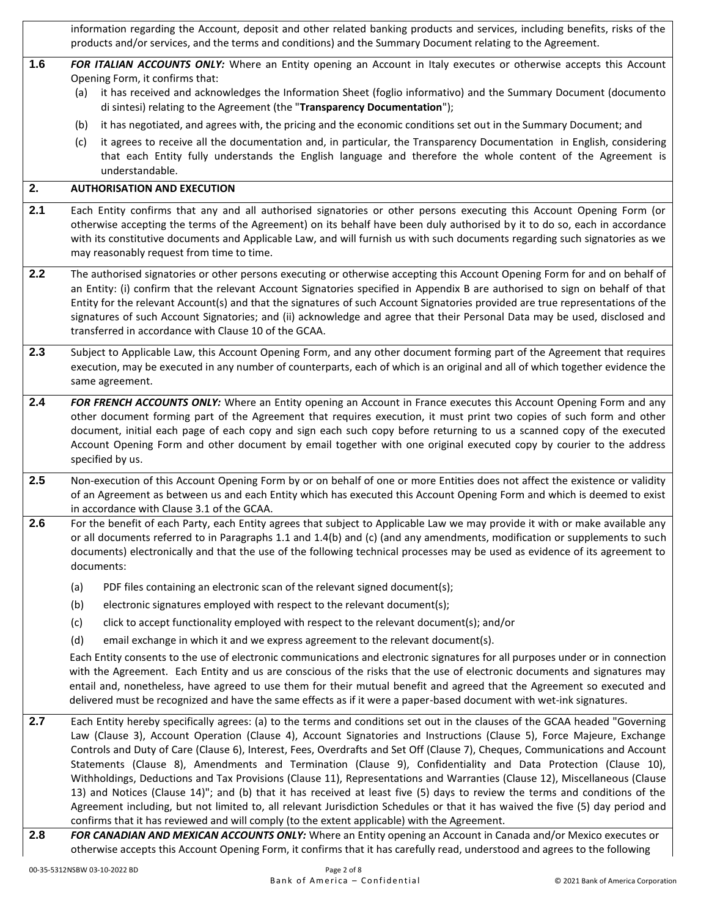information regarding the Account, deposit and other related banking products and services, including benefits, risks of the products and/or services, and the terms and conditions) and the Summary Document relating to the Agreement.

- **1.6** *FOR ITALIAN ACCOUNTS ONLY:* Where an Entity opening an Account in Italy executes or otherwise accepts this Account Opening Form, it confirms that:
	- (a) it has received and acknowledges the Information Sheet (foglio informativo) and the Summary Document (documento di sintesi) relating to the Agreement (the "**Transparency Documentation**");
	- (b) it has negotiated, and agrees with, the pricing and the economic conditions set out in the Summary Document; and
	- (c) it agrees to receive all the documentation and, in particular, the Transparency Documentation in English, considering that each Entity fully understands the English language and therefore the whole content of the Agreement is understandable.

#### **2. AUTHORISATION AND EXECUTION**

- **2.1** Each Entity confirms that any and all authorised signatories or other persons executing this Account Opening Form (or otherwise accepting the terms of the Agreement) on its behalf have been duly authorised by it to do so, each in accordance with its constitutive documents and Applicable Law, and will furnish us with such documents regarding such signatories as we may reasonably request from time to time.
- **2.2** The authorised signatories or other persons executing or otherwise accepting this Account Opening Form for and on behalf of an Entity: (i) confirm that the relevant Account Signatories specified in Appendix B are authorised to sign on behalf of that Entity for the relevant Account(s) and that the signatures of such Account Signatories provided are true representations of the signatures of such Account Signatories; and (ii) acknowledge and agree that their Personal Data may be used, disclosed and transferred in accordance with Clause 10 of the GCAA.
- **2.3** Subject to Applicable Law, this Account Opening Form, and any other document forming part of the Agreement that requires execution, may be executed in any number of counterparts, each of which is an original and all of which together evidence the same agreement.
- **2.4** *FOR FRENCH ACCOUNTS ONLY:* Where an Entity opening an Account in France executes this Account Opening Form and any other document forming part of the Agreement that requires execution, it must print two copies of such form and other document, initial each page of each copy and sign each such copy before returning to us a scanned copy of the executed Account Opening Form and other document by email together with one original executed copy by courier to the address specified by us.
- **2.5** Non-execution of this Account Opening Form by or on behalf of one or more Entities does not affect the existence or validity of an Agreement as between us and each Entity which has executed this Account Opening Form and which is deemed to exist in accordance with Clause 3.1 of the GCAA.
- **2.6** For the benefit of each Party, each Entity agrees that subject to Applicable Law we may provide it with or make available any or all documents referred to in Paragraphs 1.1 and 1.4(b) and (c) (and any amendments, modification or supplements to such documents) electronically and that the use of the following technical processes may be used as evidence of its agreement to documents:
	- (a) PDF files containing an electronic scan of the relevant signed document(s);
	- (b) electronic signatures employed with respect to the relevant document(s);
	- (c) click to accept functionality employed with respect to the relevant document(s); and/or
	- (d) email exchange in which it and we express agreement to the relevant document(s).

 Each Entity consents to the use of electronic communications and electronic signatures for all purposes under or in connection with the Agreement. Each Entity and us are conscious of the risks that the use of electronic documents and signatures may entail and, nonetheless, have agreed to use them for their mutual benefit and agreed that the Agreement so executed and delivered must be recognized and have the same effects as if it were a paper-based document with wet-ink signatures.

- **2.7** Each Entity hereby specifically agrees: (a) to the terms and conditions set out in the clauses of the GCAA headed "Governing Law (Clause 3), Account Operation (Clause 4), Account Signatories and Instructions (Clause 5), Force Majeure, Exchange Controls and Duty of Care (Clause 6), Interest, Fees, Overdrafts and Set Off (Clause 7), Cheques, Communications and Account Statements (Clause 8), Amendments and Termination (Clause 9), Confidentiality and Data Protection (Clause 10), Withholdings, Deductions and Tax Provisions (Clause 11), Representations and Warranties (Clause 12), Miscellaneous (Clause 13) and Notices (Clause 14)"; and (b) that it has received at least five (5) days to review the terms and conditions of the Agreement including, but not limited to, all relevant Jurisdiction Schedules or that it has waived the five (5) day period and confirms that it has reviewed and will comply (to the extent applicable) with the Agreement.
- **2.8** *FOR CANADIAN AND MEXICAN ACCOUNTS ONLY:* Where an Entity opening an Account in Canada and/or Mexico executes or otherwise accepts this Account Opening Form, it confirms that it has carefully read, understood and agrees to the following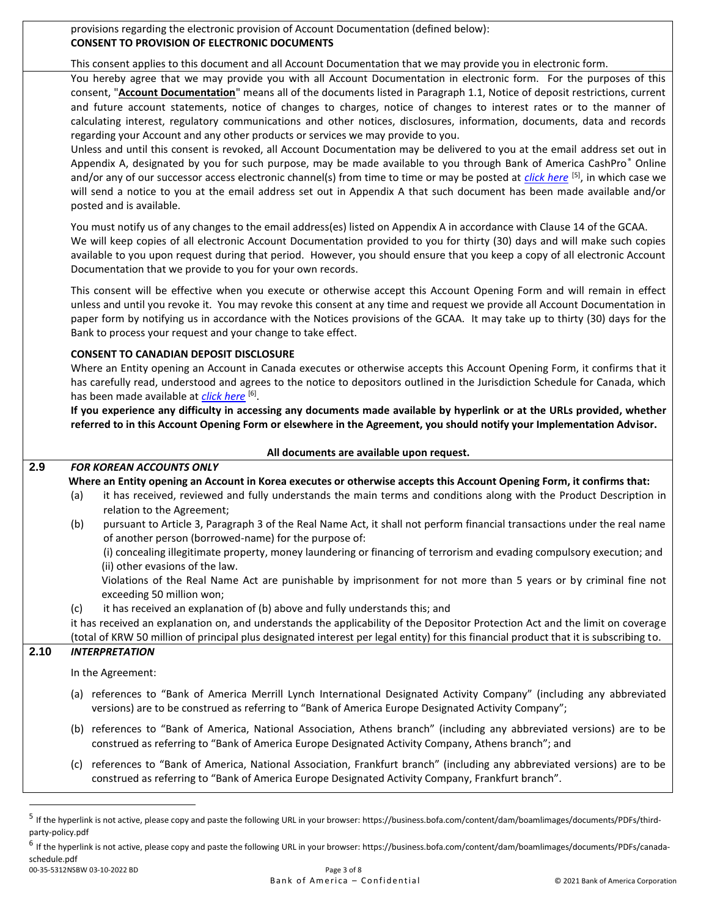provisions regarding the electronic provision of Account Documentation (defined below): **CONSENT TO PROVISION OF ELECTRONIC DOCUMENTS** 

#### This consent applies to this document and all Account Documentation that we may provide you in electronic form.

You hereby agree that we may provide you with all Account Documentation in electronic form. For the purposes of this consent, "**Account Documentation**" means all of the documents listed in Paragraph 1.1, Notice of deposit restrictions, current and future account statements, notice of changes to charges, notice of changes to interest rates or to the manner of calculating interest, regulatory communications and other notices, disclosures, information, documents, data and records regarding your Account and any other products or services we may provide to you.

Unless and until this consent is revoked, all Account Documentation may be delivered to you at the email address set out in Appendix A, designated by you for such purpose, may be made available to you through Bank of America CashPro® Online and/or any of our successor access electronic channel(s) from time to time or may be posted at *[click here](https://business.bofa.com/content/dam/boamlimages/documents/PDFs/third-party-policy.pdf)* [5] , in which case we will send a notice to you at the email address set out in Appendix A that such document has been made available and/or posted and is available.

You must notify us of any changes to the email address(es) listed on Appendix A in accordance with Clause 14 of the GCAA. We will keep copies of all electronic Account Documentation provided to you for thirty (30) days and will make such copies available to you upon request during that period. However, you should ensure that you keep a copy of all electronic Account Documentation that we provide to you for your own records.

This consent will be effective when you execute or otherwise accept this Account Opening Form and will remain in effect unless and until you revoke it. You may revoke this consent at any time and request we provide all Account Documentation in paper form by notifying us in accordance with the Notices provisions of the GCAA. It may take up to thirty (30) days for the Bank to process your request and your change to take effect.

#### **CONSENT TO CANADIAN DEPOSIT DISCLOSURE**

Where an Entity opening an Account in Canada executes or otherwise accepts this Account Opening Form, it confirms that it has carefully read, understood and agrees to the notice to depositors outlined in the Jurisdiction Schedule for Canada, which has been made available at *[click here](https://business.bofa.com/content/dam/boamlimages/documents/PDFs/canada-schedule.pdf)* <sup>[6]</sup>.

**If you experience any difficulty in accessing any documents made available by hyperlink or at the URLs provided, whether referred to in this Account Opening Form or elsewhere in the Agreement, you should notify your Implementation Advisor.** 

## **All documents are available upon request. 2.9** *FOR KOREAN ACCOUNTS ONLY*   **Where an Entity opening an Account in Korea executes or otherwise accepts this Account Opening Form, it confirms that:** (a) it has received, reviewed and fully understands the main terms and conditions along with the Product Description in relation to the Agreement; (b) pursuant to Article 3, Paragraph 3 of the Real Name Act, it shall not perform financial transactions under the real name of another person (borrowed-name) for the purpose of: (i) concealing illegitimate property, money laundering or financing of terrorism and evading compulsory execution; and (ii) other evasions of the law. Violations of the Real Name Act are punishable by imprisonment for not more than 5 years or by criminal fine not exceeding 50 million won; (c) it has received an explanation of (b) above and fully understands this; and it has received an explanation on, and understands the applicability of the Depositor Protection Act and the limit on coverage (total of KRW 50 million of principal plus designated interest per legal entity) for this financial product that it is subscribing to. **2.10** *INTERPRETATION* In the Agreement: (a) references to "Bank of America Merrill Lynch International Designated Activity Company" (including any abbreviated versions) are to be construed as referring to "Bank of America Europe Designated Activity Company"; (b) references to "Bank of America, National Association, Athens branch" (including any abbreviated versions) are to be construed as referring to "Bank of America Europe Designated Activity Company, Athens branch"; and (c) references to "Bank of America, National Association, Frankfurt branch" (including any abbreviated versions) are to be construed as referring to "Bank of America Europe Designated Activity Company, Frankfurt branch".

<sup>&</sup>lt;sup>5</sup> If the hyperlink is not active, please copy and paste the following URL in your browser: https://business.bofa.com/content/dam/boamlimages/documents/PDFs/thirdparty-policy.pdf

<sup>&</sup>lt;sup>6</sup> If the hyperlink is not active, please copy and paste the following URL in your browser: https://business.bofa.com/content/dam/boamlimages/documents/PDFs/canadaschedule.pdf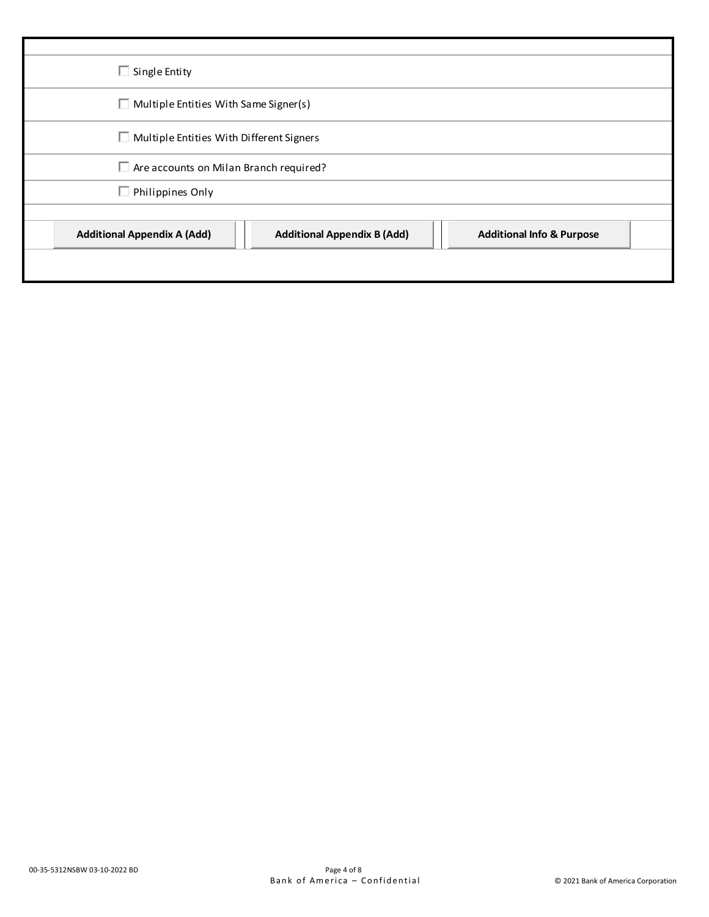| $\Box$ Single Entity                         |                                                 |                                      |  |  |  |  |  |  |  |  |
|----------------------------------------------|-------------------------------------------------|--------------------------------------|--|--|--|--|--|--|--|--|
| $\Box$ Multiple Entities With Same Signer(s) |                                                 |                                      |  |  |  |  |  |  |  |  |
|                                              | $\Box$ Multiple Entities With Different Signers |                                      |  |  |  |  |  |  |  |  |
|                                              | Are accounts on Milan Branch required?          |                                      |  |  |  |  |  |  |  |  |
| $\Box$ Philippines Only                      |                                                 |                                      |  |  |  |  |  |  |  |  |
| <b>Additional Appendix A (Add)</b>           | <b>Additional Appendix B (Add)</b>              | <b>Additional Info &amp; Purpose</b> |  |  |  |  |  |  |  |  |
|                                              |                                                 |                                      |  |  |  |  |  |  |  |  |
|                                              |                                                 |                                      |  |  |  |  |  |  |  |  |
|                                              |                                                 |                                      |  |  |  |  |  |  |  |  |
|                                              |                                                 |                                      |  |  |  |  |  |  |  |  |
|                                              |                                                 |                                      |  |  |  |  |  |  |  |  |
|                                              |                                                 |                                      |  |  |  |  |  |  |  |  |
|                                              |                                                 |                                      |  |  |  |  |  |  |  |  |
|                                              |                                                 |                                      |  |  |  |  |  |  |  |  |
|                                              |                                                 |                                      |  |  |  |  |  |  |  |  |
|                                              |                                                 |                                      |  |  |  |  |  |  |  |  |
|                                              |                                                 |                                      |  |  |  |  |  |  |  |  |
|                                              |                                                 |                                      |  |  |  |  |  |  |  |  |
|                                              |                                                 |                                      |  |  |  |  |  |  |  |  |
|                                              |                                                 |                                      |  |  |  |  |  |  |  |  |
|                                              |                                                 |                                      |  |  |  |  |  |  |  |  |
|                                              |                                                 |                                      |  |  |  |  |  |  |  |  |
|                                              |                                                 |                                      |  |  |  |  |  |  |  |  |
|                                              |                                                 |                                      |  |  |  |  |  |  |  |  |
|                                              |                                                 |                                      |  |  |  |  |  |  |  |  |
|                                              |                                                 |                                      |  |  |  |  |  |  |  |  |
|                                              |                                                 |                                      |  |  |  |  |  |  |  |  |
| 00-35-5312NSBW 03-10-2022 BD                 | Page 4 of 8<br>Bank of America - Confidential   | © 2021 Bank of America Corporation   |  |  |  |  |  |  |  |  |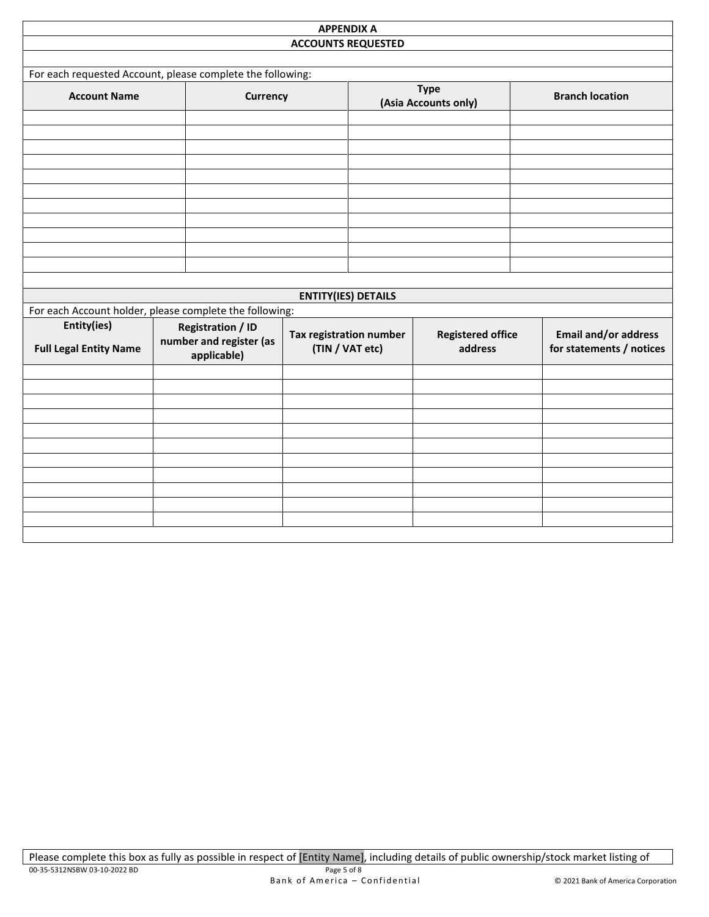| <b>APPENDIX A</b>                                          |                                                                                   |                            |                                     |                                                         |  |  |  |  |  |  |  |  |
|------------------------------------------------------------|-----------------------------------------------------------------------------------|----------------------------|-------------------------------------|---------------------------------------------------------|--|--|--|--|--|--|--|--|
| <b>ACCOUNTS REQUESTED</b>                                  |                                                                                   |                            |                                     |                                                         |  |  |  |  |  |  |  |  |
|                                                            |                                                                                   |                            |                                     |                                                         |  |  |  |  |  |  |  |  |
| For each requested Account, please complete the following: |                                                                                   |                            |                                     |                                                         |  |  |  |  |  |  |  |  |
| <b>Account Name</b>                                        | Currency                                                                          |                            | <b>Type</b><br>(Asia Accounts only) | <b>Branch location</b>                                  |  |  |  |  |  |  |  |  |
|                                                            |                                                                                   |                            |                                     |                                                         |  |  |  |  |  |  |  |  |
|                                                            |                                                                                   |                            |                                     |                                                         |  |  |  |  |  |  |  |  |
|                                                            |                                                                                   |                            |                                     |                                                         |  |  |  |  |  |  |  |  |
|                                                            |                                                                                   |                            |                                     |                                                         |  |  |  |  |  |  |  |  |
|                                                            |                                                                                   |                            |                                     |                                                         |  |  |  |  |  |  |  |  |
|                                                            |                                                                                   |                            |                                     |                                                         |  |  |  |  |  |  |  |  |
|                                                            |                                                                                   |                            |                                     |                                                         |  |  |  |  |  |  |  |  |
|                                                            |                                                                                   |                            |                                     |                                                         |  |  |  |  |  |  |  |  |
|                                                            |                                                                                   |                            |                                     |                                                         |  |  |  |  |  |  |  |  |
|                                                            |                                                                                   |                            |                                     |                                                         |  |  |  |  |  |  |  |  |
|                                                            |                                                                                   |                            |                                     |                                                         |  |  |  |  |  |  |  |  |
|                                                            |                                                                                   | <b>ENTITY(IES) DETAILS</b> |                                     |                                                         |  |  |  |  |  |  |  |  |
|                                                            | For each Account holder, please complete the following:                           |                            |                                     |                                                         |  |  |  |  |  |  |  |  |
| <b>Full Legal Entity Name</b>                              | Entity(ies)<br><b>Registration / ID</b><br>number and register (as<br>applicable) |                            | <b>Registered office</b><br>address | <b>Email and/or address</b><br>for statements / notices |  |  |  |  |  |  |  |  |
|                                                            |                                                                                   |                            |                                     |                                                         |  |  |  |  |  |  |  |  |
|                                                            |                                                                                   |                            |                                     |                                                         |  |  |  |  |  |  |  |  |
|                                                            |                                                                                   |                            |                                     |                                                         |  |  |  |  |  |  |  |  |
|                                                            |                                                                                   |                            |                                     |                                                         |  |  |  |  |  |  |  |  |
|                                                            |                                                                                   |                            |                                     |                                                         |  |  |  |  |  |  |  |  |
|                                                            |                                                                                   |                            |                                     |                                                         |  |  |  |  |  |  |  |  |
|                                                            |                                                                                   |                            |                                     |                                                         |  |  |  |  |  |  |  |  |
|                                                            |                                                                                   |                            |                                     |                                                         |  |  |  |  |  |  |  |  |
|                                                            |                                                                                   |                            |                                     |                                                         |  |  |  |  |  |  |  |  |
|                                                            |                                                                                   |                            |                                     |                                                         |  |  |  |  |  |  |  |  |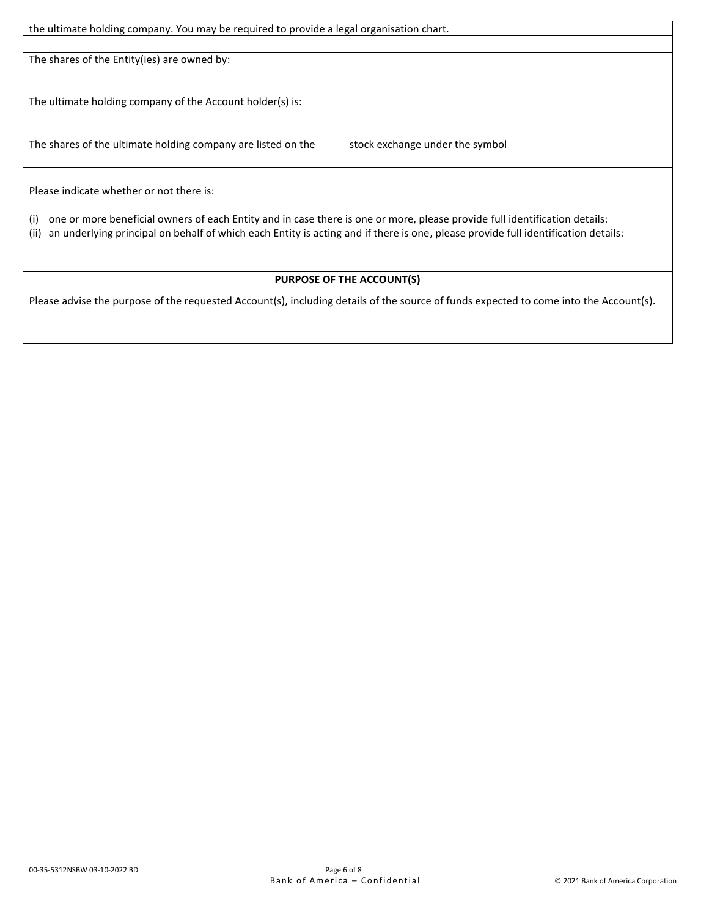the ultimate holding company. You may be required to provide a legal organisation chart.

The shares of the Entity(ies) are owned by:

The ultimate holding company of the Account holder(s) is:

The shares of the ultimate holding company are listed on the stock exchange under the symbol

Please indicate whether or not there is:

(i) one or more beneficial owners of each Entity and in case there is one or more, please provide full identification details:

(ii) an underlying principal on behalf of which each Entity is acting and if there is one, please provide full identification details:

### **PURPOSE OF THE ACCOUNT(S)**

Please advise the purpose of the requested Account(s), including details of the source of funds expected to come into the Account(s).